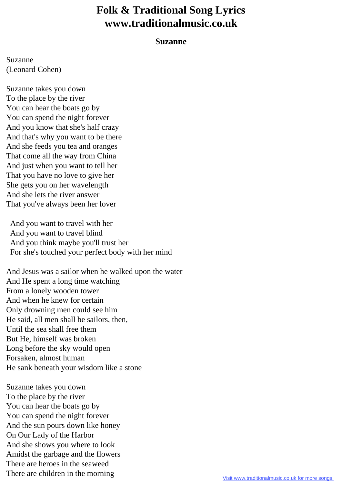## **Folk & Traditional Song Lyrics www.traditionalmusic.co.uk**

## **Suzanne**

Suzanne (Leonard Cohen)

Suzanne takes you down To the place by the river You can hear the boats go by You can spend the night forever And you know that she's half crazy And that's why you want to be there And she feeds you tea and oranges That come all the way from China And just when you want to tell her That you have no love to give her She gets you on her wavelength And she lets the river answer That you've always been her lover

 And you want to travel with her And you want to travel blind And you think maybe you'll trust her For she's touched your perfect body with her mind

And Jesus was a sailor when he walked upon the water And He spent a long time watching From a lonely wooden tower And when he knew for certain Only drowning men could see him He said, all men shall be sailors, then, Until the sea shall free them But He, himself was broken Long before the sky would open Forsaken, almost human He sank beneath your wisdom like a stone

Suzanne takes you down To the place by the river You can hear the boats go by You can spend the night forever And the sun pours down like honey On Our Lady of the Harbor And she shows you where to look Amidst the garbage and the flowers There are heroes in the seaweed There are children in the morning